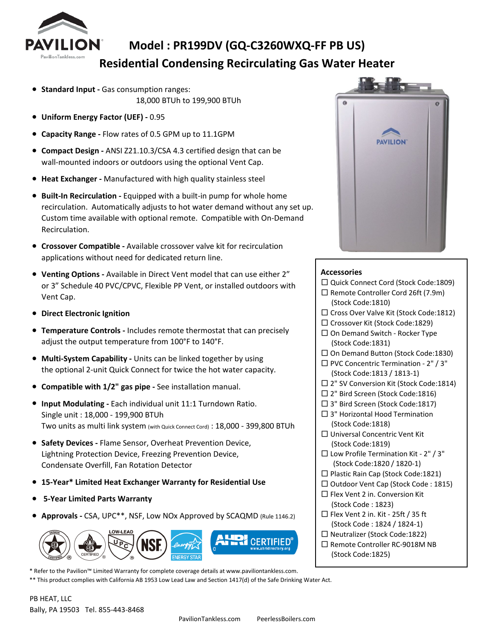

## **Model : PR199DV (GQ-C3260WXQ-FF PB US) Residential Condensing Recirculating Gas Water Heater**

- **Standard Input -** Gas consumption ranges: 18,000 BTUh to 199,900 BTUh
- **Uniform Energy Factor (UEF) -** 0.95
- **Capacity Range** Flow rates of 0.5 GPM up to 11.1GPM
- **Compact Design -** ANSI Z21.10.3/CSA 4.3 certified design that can be wall-mounted indoors or outdoors using the optional Vent Cap.
- **Heat Exchanger -** Manufactured with high quality stainless steel
- **Built-In Recirculation -** Equipped with a built-in pump for whole home recirculation. Automatically adjusts to hot water demand without any set up. Custom time available with optional remote. Compatible with On-Demand Recirculation.
- **Crossover Compatible -** Available crossover valve kit for recirculation applications without need for dedicated return line.
- **Venting Options -** Available in Direct Vent model that can use either 2" or 3" Schedule 40 PVC/CPVC, Flexible PP Vent, or installed outdoors with Vent Cap.
- **Direct Electronic Ignition**
- **Temperature Controls -** Includes remote thermostat that can precisely adjust the output temperature from 100°F to 140°F.
- **Multi-System Capability -** Units can be linked together by using the optional 2-unit Quick Connect for twice the hot water capacity.
- **Compatible with 1/2" gas pipe -** See installation manual.
- **Input Modulating -** Each individual unit 11:1 Turndown Ratio. Single unit : 18,000 - 199,900 BTUh Two units as multi link system (with Quick Connect Cord) : 18,000 - 399,800 BTUh
- **Safety Devices -** Flame Sensor, Overheat Prevention Device, Lightning Protection Device, Freezing Prevention Device, Condensate Overfill, Fan Rotation Detector
- **15-Year\* Limited Heat Exchanger Warranty for Residential Use**
- ● **5-Year Limited Parts Warranty**
- **Approvals** CSA, UPC\*\*, NSF, Low NOx Approved by SCAQMD (Rule 1146.2)



\* Refer to the Pavilion™ Limited Warranty for complete coverage details at www.paviliontankless.com. \*\* This product complies with California AB 1953 Low Lead Law and Section 1417(d) of the Safe Drinking Water Act.



## **Accessories**

- □ Quick Connect Cord (Stock Code:1809) □ Remote Controller Cord 26ft (7.9m) (Stock Code:1810) □ Cross Over Valve Kit (Stock Code:1812) □ Crossover Kit (Stock Code:1829) □ On Demand Switch - Rocker Type (Stock Code:1831) □ On Demand Button (Stock Code:1830)  $\Box$  PVC Concentric Termination - 2" / 3" (Stock Code:1813 / 1813-1) □ 2" SV Conversion Kit (Stock Code:1814) □ 2" Bird Screen (Stock Code:1816) □ 3" Bird Screen (Stock Code:1817)  $\square$  3" Horizontal Hood Termination (Stock Code:1818) □ Universal Concentric Vent Kit (Stock Code:1819)  $\square$  Low Profile Termination Kit - 2" / 3" (Stock Code:1820 / 1820-1) □ Plastic Rain Cap (Stock Code:1821) □ Outdoor Vent Cap (Stock Code : 1815)  $\square$  Flex Vent 2 in. Conversion Kit (Stock Code : 1823) □ Flex Vent 2 in. Kit - 25ft / 35 ft (Stock Code : 1824 / 1824-1) □ Neutralizer (Stock Code:1822)
- □ Remote Controller RC-9018M NB (Stock Code:1825)